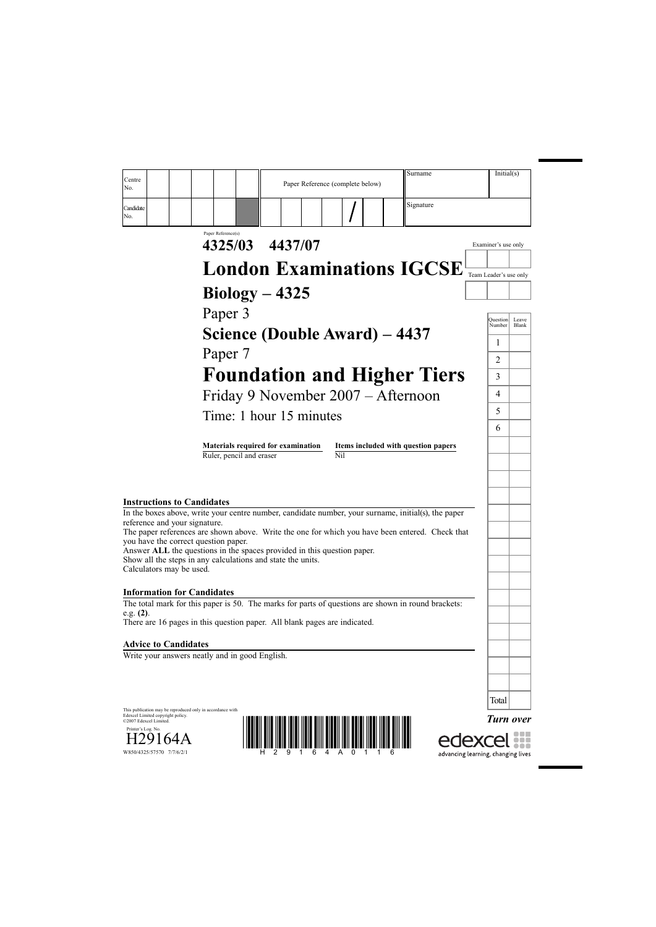





This publication may be reproduced only in accordance with Edexcel Limited copyright policy. ©2007 Edexcel Limited.

 Printer's Log. No. H29164A

W850/4325/57570 7/7/6/2/1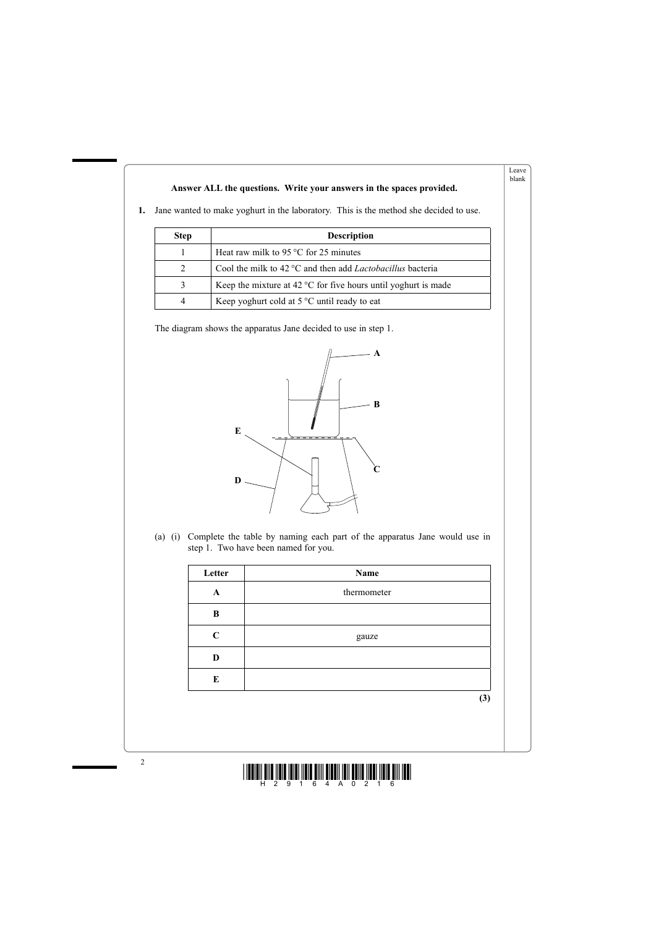2





 (a) (i) Complete the table by naming each part of the apparatus Jane would use in step 1. Two have been named for you.

| Letter      | Name        |
|-------------|-------------|
| A           | thermometer |
| B           |             |
| $\mathbf C$ | gauze       |
| D           |             |
| E           |             |
|             | (3)         |

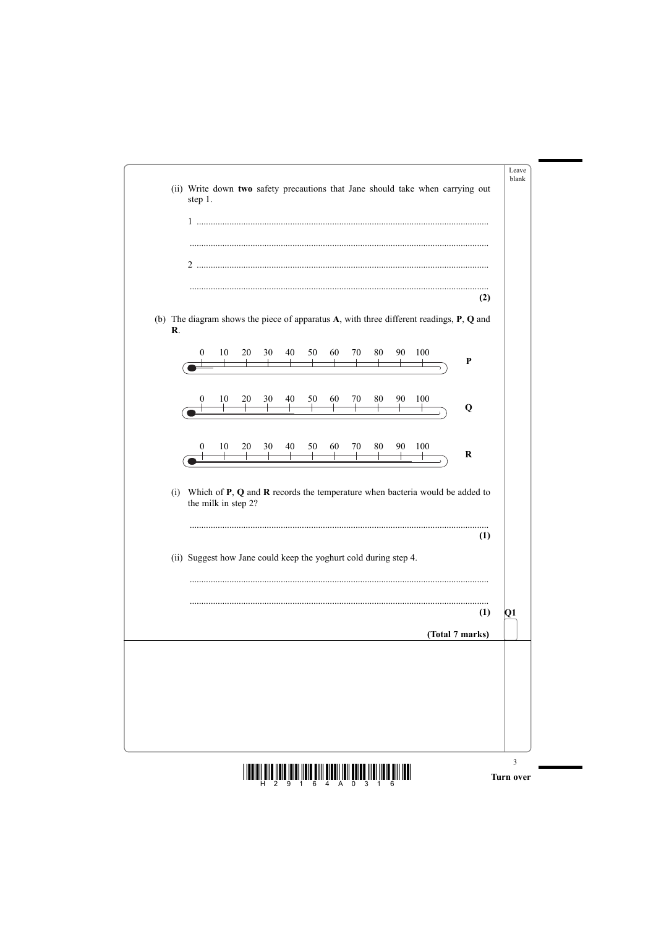

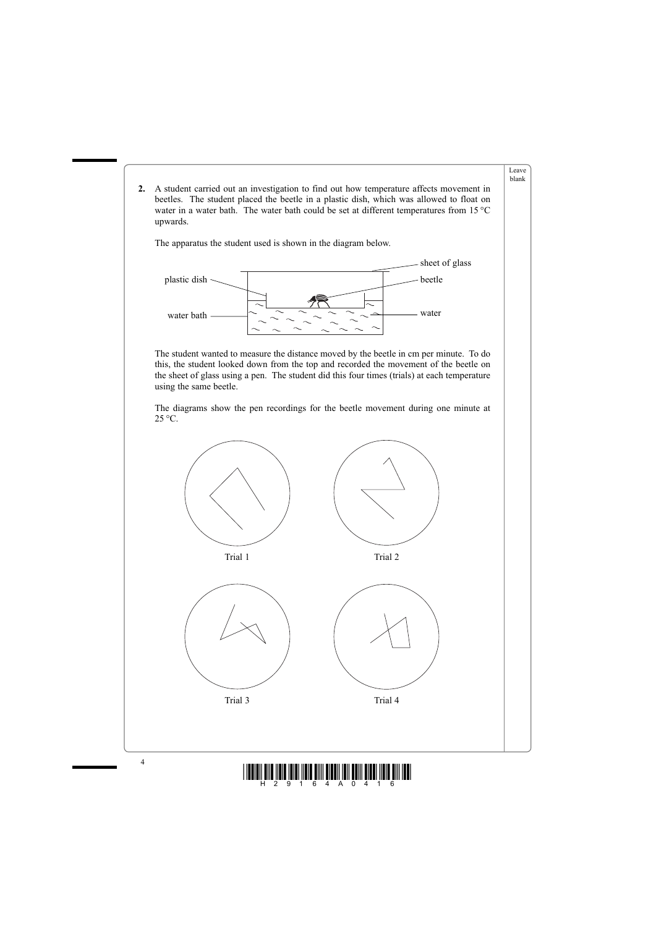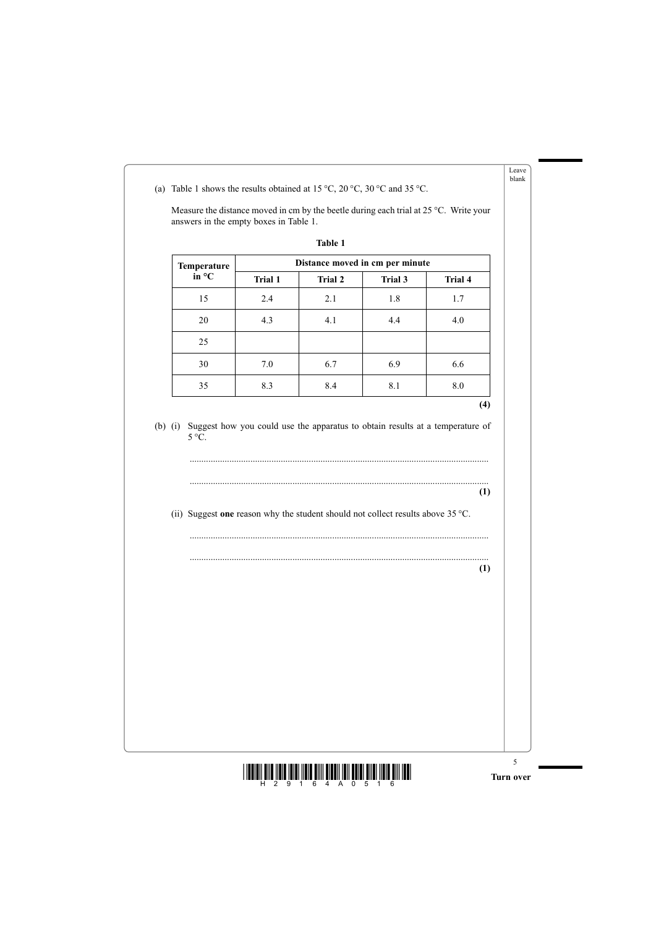|                 |                | <b>Table 1</b>                                                                      |                |                |
|-----------------|----------------|-------------------------------------------------------------------------------------|----------------|----------------|
| Temperature     |                | Distance moved in cm per minute                                                     |                |                |
| in $\mathrm{C}$ | <b>Trial 1</b> | <b>Trial 2</b>                                                                      | <b>Trial 3</b> | <b>Trial 4</b> |
| 15              | 2.4            | 2.1                                                                                 | 1.8            | 1.7            |
| 20              | 4.3            | 4.1                                                                                 | 4.4            | 4.0            |
| 25              |                |                                                                                     |                |                |
| 30              | 7.0            | 6.7                                                                                 | 6.9            | 6.6            |
| 35              | 8.3            | 8.4                                                                                 | 8.1            | 8.0            |
| $(b)$ (i)       |                | Suggest how you could use the apparatus to obtain results at a temperature of       |                |                |
| 5 °C.           |                |                                                                                     |                |                |
|                 |                |                                                                                     |                |                |
| (i)             |                | Suggest one reason why the student should not collect results above $35^{\circ}$ C. |                |                |

Leave  ${\sf blank}$ 

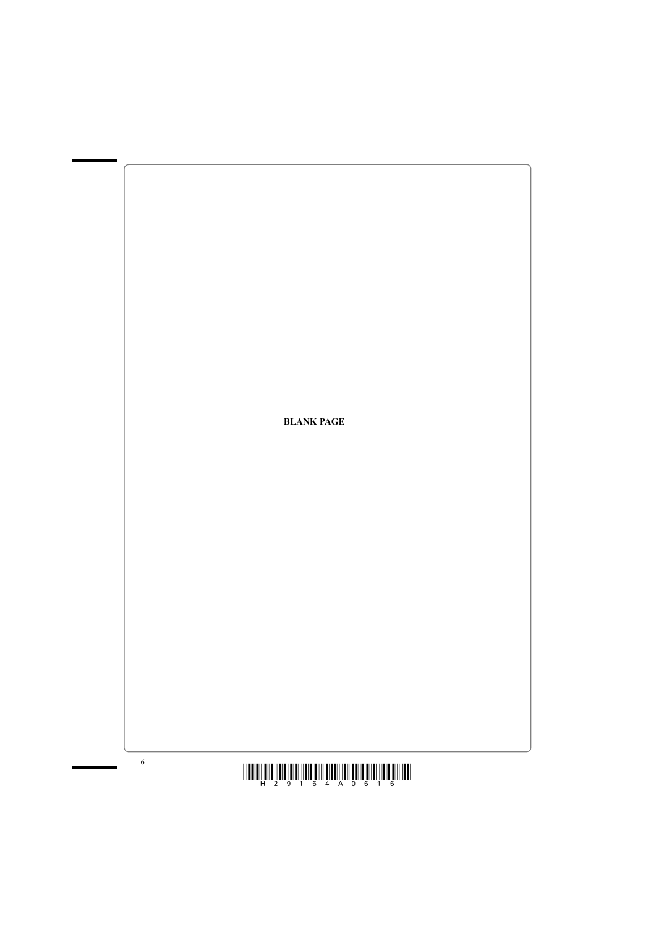6



**BLANK PAGE**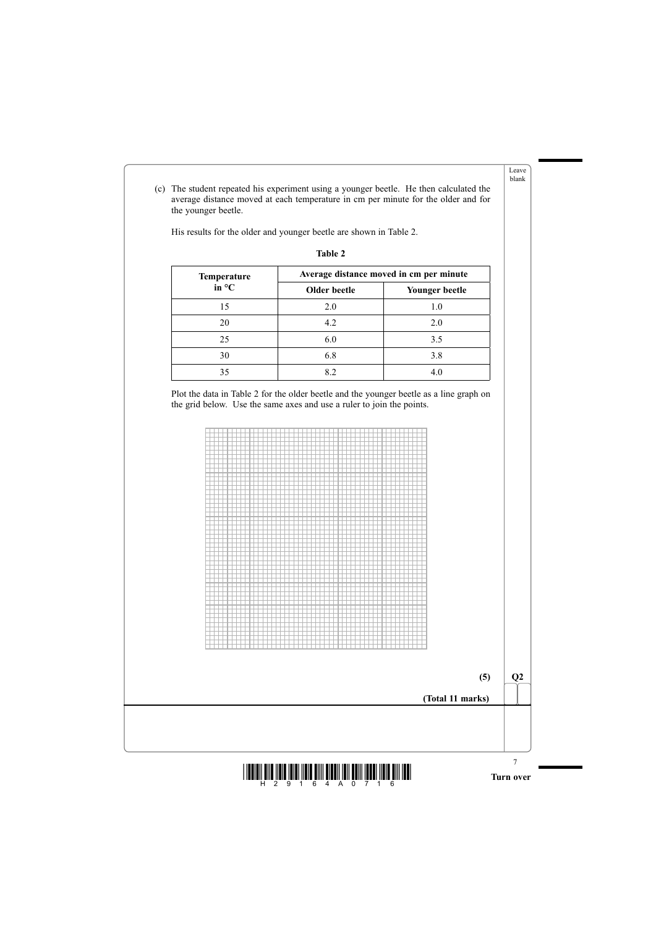Leave blank



 (c) The student repeated his experiment using a younger beetle. He then calculated the average distance moved at each temperature in cm per minute for the older and for the younger beetle.

His results for the older and younger beetle are shown in Table 2.

| <b>Table 2</b> |  |
|----------------|--|
|                |  |

| <b>Temperature</b> | Average distance moved in cm per minute |                       |  |  |
|--------------------|-----------------------------------------|-----------------------|--|--|
| in $\mathrm{C}$    | <b>Older beetle</b>                     | <b>Younger beetle</b> |  |  |
| 15                 | 2.0                                     | 1.0                   |  |  |
| 20                 | 4.2                                     | 2.0                   |  |  |
| 25                 | 6.0                                     | 3.5                   |  |  |
| 30                 | 6.8                                     | 3.8                   |  |  |
| 35                 | 8.2                                     | 4.0                   |  |  |

 Plot the data in Table 2 for the older beetle and the younger beetle as a line graph on the grid below. Use the same axes and use a ruler to join the points.





**(Total 11 marks)**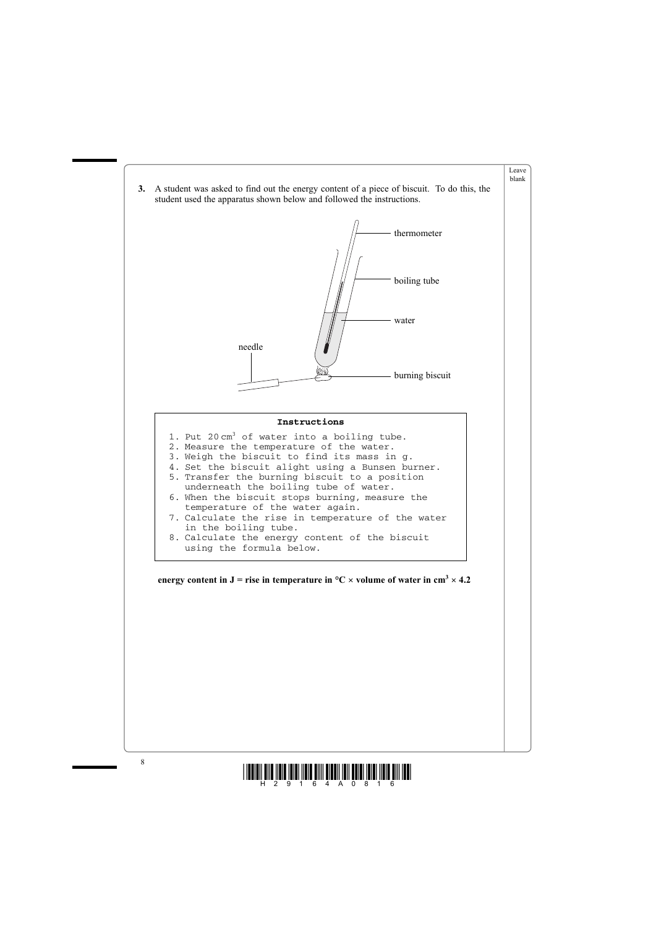



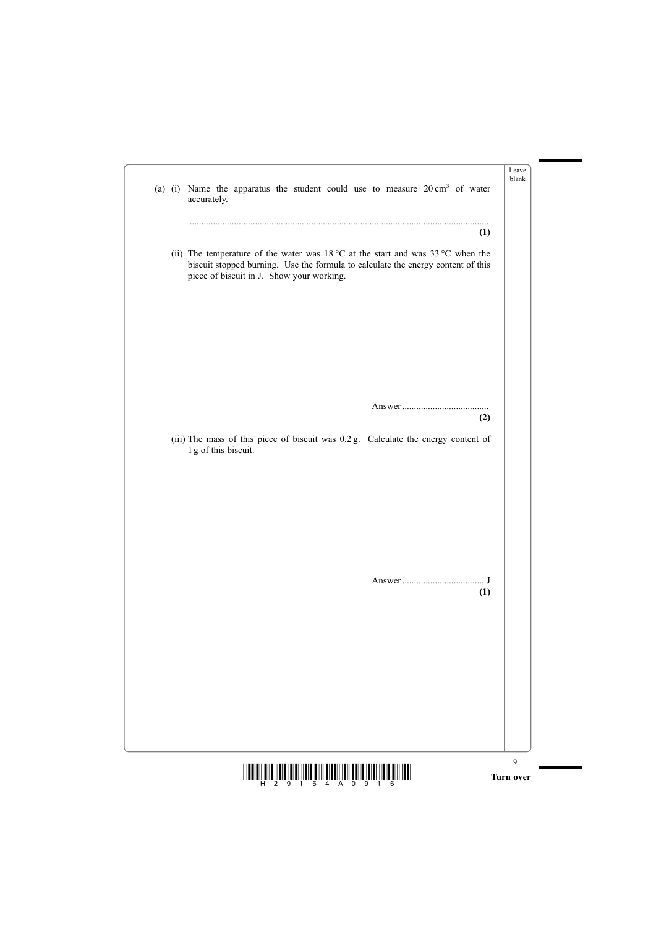

| (1)                                                                                                                                                                                                                                |  |
|------------------------------------------------------------------------------------------------------------------------------------------------------------------------------------------------------------------------------------|--|
| (ii) The temperature of the water was $18\text{ °C}$ at the start and was $33\text{ °C}$ when the<br>biscuit stopped burning. Use the formula to calculate the energy content of this<br>piece of biscuit in J. Show your working. |  |
| (2)                                                                                                                                                                                                                                |  |
| (iii) The mass of this piece of biscuit was 0.2 g. Calculate the energy content of<br>1g of this biscuit.                                                                                                                          |  |
| (1)                                                                                                                                                                                                                                |  |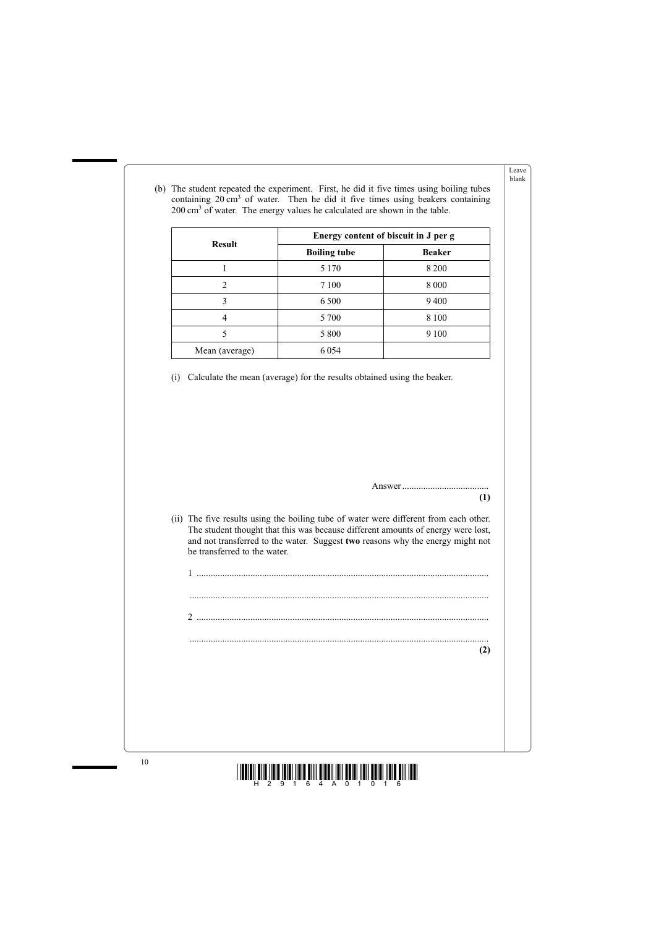Leave blank



4 5 700 8 100 5 5 800 9 100 Mean (average) 6 054

 (b) The student repeated the experiment. First, he did it five times using boiling tubes containing  $20 \text{ cm}^3$  of water. Then he did it five times using beakers containing 200 cm<sup>3</sup> of water. The energy values he calculated are shown in the table. **Result Energy content of biscuit in J per g**<br>**Result Example <b>Energy** content of biscuit in J per g<br>**Beaker Boiling tube** 1 5 170 8 200 2 7 100 8 000 3 6 500 9 400

(i) Calculate the mean (average) for the results obtained using the beaker.

Answer .....................................

**(1)**

 (ii) The five results using the boiling tube of water were different from each other. The student thought that this was because different amounts of energy were lost, and not transferred to the water. Suggest **two** reasons why the energy might not be transferred to the water.

1 .............................................................................................................................

................................................................................................................................

2 .............................................................................................................................



................................................................................................................................

**(2)**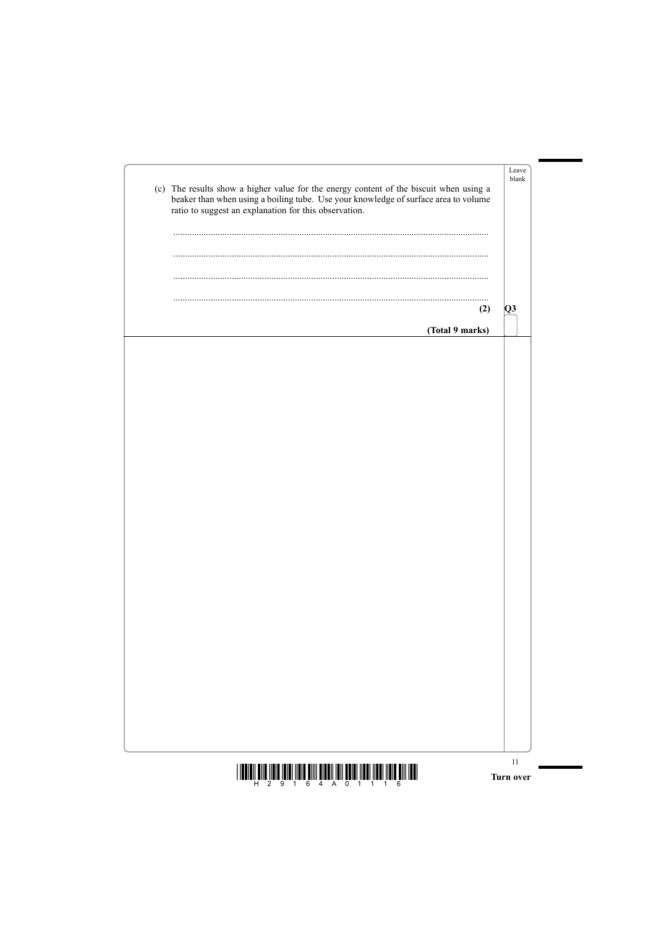| beaker than when using a boiling tube. Use your knowledge of surface area to volume<br>ratio to suggest an explanation for this observation. |    |
|----------------------------------------------------------------------------------------------------------------------------------------------|----|
|                                                                                                                                              |    |
|                                                                                                                                              |    |
|                                                                                                                                              |    |
| (2)                                                                                                                                          | Q3 |
| (Total 9 marks)                                                                                                                              |    |
|                                                                                                                                              |    |
|                                                                                                                                              |    |
|                                                                                                                                              |    |
|                                                                                                                                              |    |
|                                                                                                                                              |    |
|                                                                                                                                              |    |
|                                                                                                                                              |    |
|                                                                                                                                              |    |
|                                                                                                                                              |    |
|                                                                                                                                              |    |
|                                                                                                                                              |    |
|                                                                                                                                              |    |
|                                                                                                                                              |    |
|                                                                                                                                              |    |
|                                                                                                                                              |    |

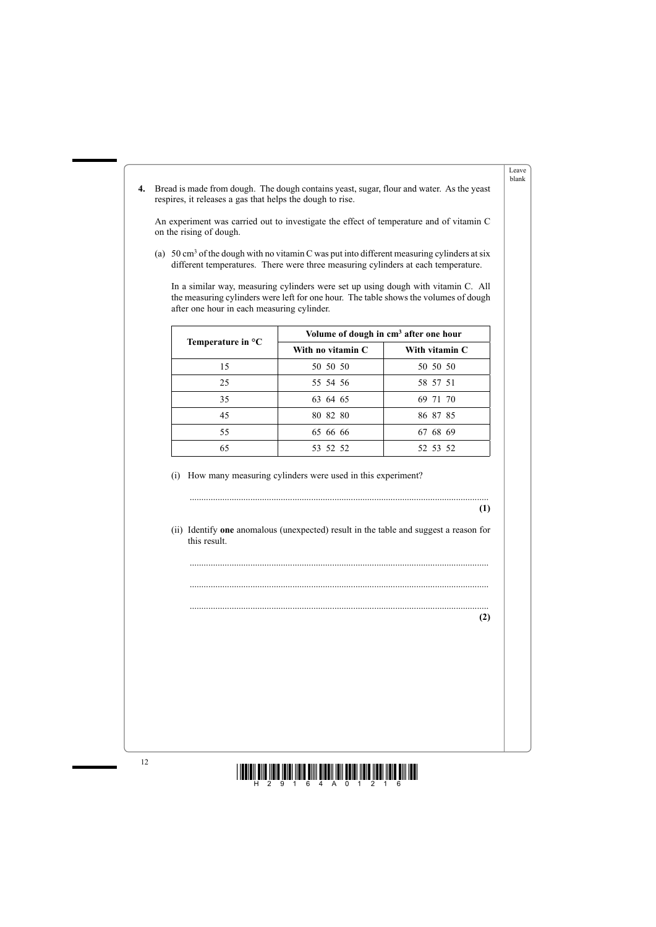

 $\mathbf{r}$ 

 $\blacksquare$ 

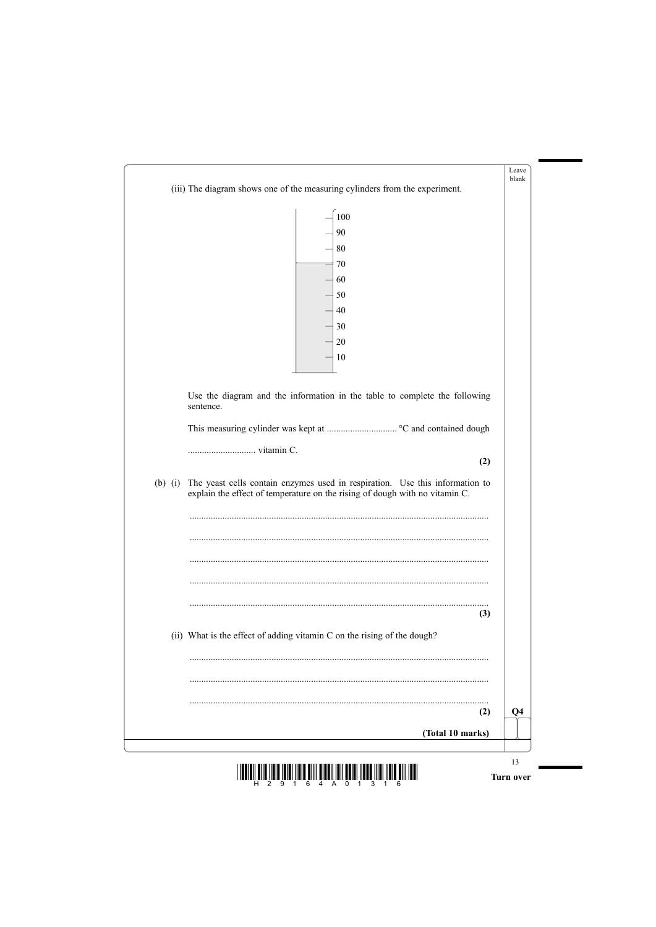



 $\mathbf{3}$ 

-6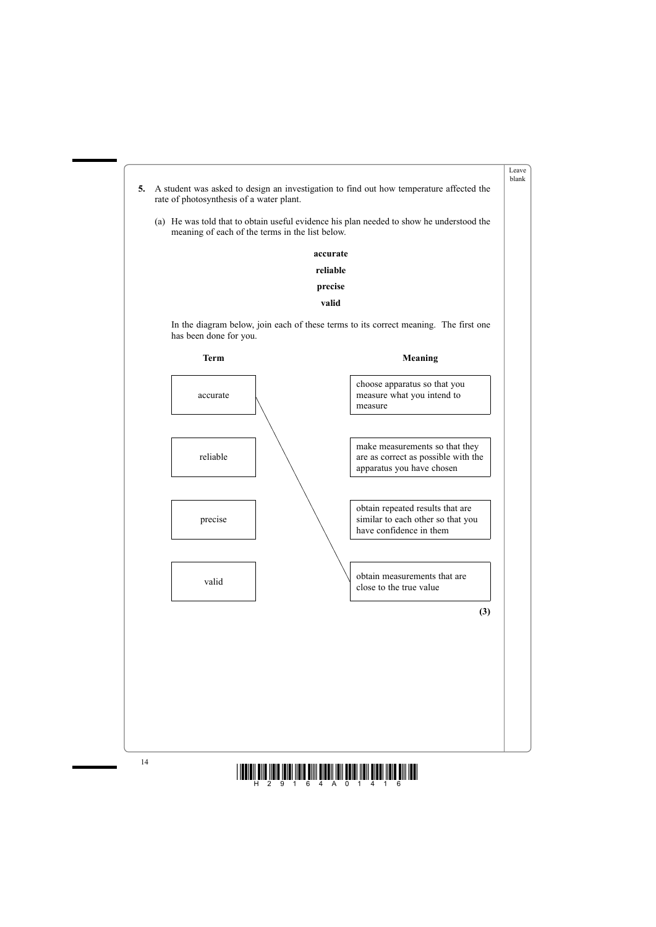



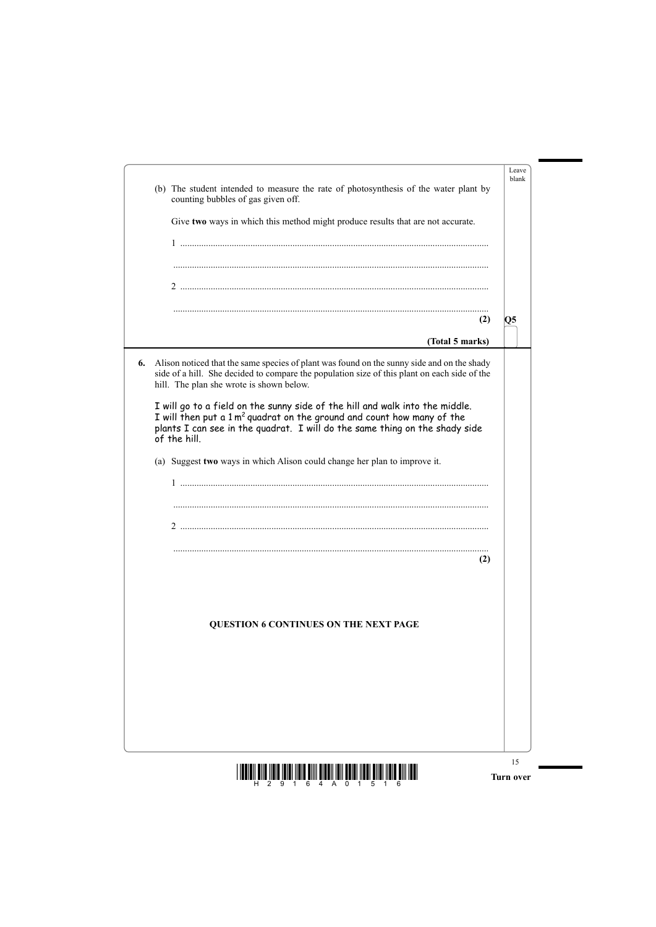

| (b) The student intended to measure the rate of photosynthesis of the water plant by<br>counting bubbles of gas given off.<br>Give two ways in which this method might produce results that are not accurate.<br>(2)<br>Q5<br>(Total 5 marks)<br>Alison noticed that the same species of plant was found on the sunny side and on the shady<br>6.<br>side of a hill. She decided to compare the population size of this plant on each side of the<br>hill. The plan she wrote is shown below.<br>I will go to a field on the sunny side of the hill and walk into the middle.<br>I will then put a 1 m <sup>2</sup> quadrat on the ground and count how many of the<br>plants I can see in the quadrat. I will do the same thing on the shady side<br>of the hill.<br>(a) Suggest two ways in which Alison could change her plan to improve it.<br>(2)<br><b>QUESTION 6 CONTINUES ON THE NEXT PAGE</b> |  | Leave |
|--------------------------------------------------------------------------------------------------------------------------------------------------------------------------------------------------------------------------------------------------------------------------------------------------------------------------------------------------------------------------------------------------------------------------------------------------------------------------------------------------------------------------------------------------------------------------------------------------------------------------------------------------------------------------------------------------------------------------------------------------------------------------------------------------------------------------------------------------------------------------------------------------------|--|-------|
|                                                                                                                                                                                                                                                                                                                                                                                                                                                                                                                                                                                                                                                                                                                                                                                                                                                                                                        |  | blank |
|                                                                                                                                                                                                                                                                                                                                                                                                                                                                                                                                                                                                                                                                                                                                                                                                                                                                                                        |  |       |
|                                                                                                                                                                                                                                                                                                                                                                                                                                                                                                                                                                                                                                                                                                                                                                                                                                                                                                        |  |       |
|                                                                                                                                                                                                                                                                                                                                                                                                                                                                                                                                                                                                                                                                                                                                                                                                                                                                                                        |  |       |
|                                                                                                                                                                                                                                                                                                                                                                                                                                                                                                                                                                                                                                                                                                                                                                                                                                                                                                        |  |       |
|                                                                                                                                                                                                                                                                                                                                                                                                                                                                                                                                                                                                                                                                                                                                                                                                                                                                                                        |  |       |
|                                                                                                                                                                                                                                                                                                                                                                                                                                                                                                                                                                                                                                                                                                                                                                                                                                                                                                        |  |       |
|                                                                                                                                                                                                                                                                                                                                                                                                                                                                                                                                                                                                                                                                                                                                                                                                                                                                                                        |  |       |
|                                                                                                                                                                                                                                                                                                                                                                                                                                                                                                                                                                                                                                                                                                                                                                                                                                                                                                        |  |       |
|                                                                                                                                                                                                                                                                                                                                                                                                                                                                                                                                                                                                                                                                                                                                                                                                                                                                                                        |  |       |
|                                                                                                                                                                                                                                                                                                                                                                                                                                                                                                                                                                                                                                                                                                                                                                                                                                                                                                        |  |       |
|                                                                                                                                                                                                                                                                                                                                                                                                                                                                                                                                                                                                                                                                                                                                                                                                                                                                                                        |  |       |
|                                                                                                                                                                                                                                                                                                                                                                                                                                                                                                                                                                                                                                                                                                                                                                                                                                                                                                        |  |       |
|                                                                                                                                                                                                                                                                                                                                                                                                                                                                                                                                                                                                                                                                                                                                                                                                                                                                                                        |  |       |
|                                                                                                                                                                                                                                                                                                                                                                                                                                                                                                                                                                                                                                                                                                                                                                                                                                                                                                        |  |       |
|                                                                                                                                                                                                                                                                                                                                                                                                                                                                                                                                                                                                                                                                                                                                                                                                                                                                                                        |  |       |
|                                                                                                                                                                                                                                                                                                                                                                                                                                                                                                                                                                                                                                                                                                                                                                                                                                                                                                        |  |       |
|                                                                                                                                                                                                                                                                                                                                                                                                                                                                                                                                                                                                                                                                                                                                                                                                                                                                                                        |  |       |
|                                                                                                                                                                                                                                                                                                                                                                                                                                                                                                                                                                                                                                                                                                                                                                                                                                                                                                        |  |       |
|                                                                                                                                                                                                                                                                                                                                                                                                                                                                                                                                                                                                                                                                                                                                                                                                                                                                                                        |  |       |
|                                                                                                                                                                                                                                                                                                                                                                                                                                                                                                                                                                                                                                                                                                                                                                                                                                                                                                        |  |       |
|                                                                                                                                                                                                                                                                                                                                                                                                                                                                                                                                                                                                                                                                                                                                                                                                                                                                                                        |  |       |